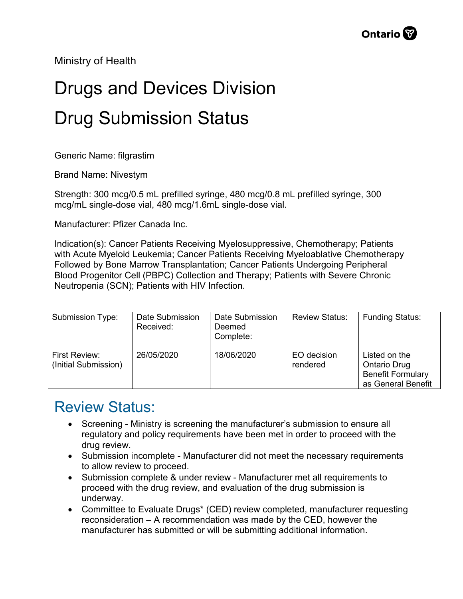Ministry of Health

## Drugs and Devices Division Drug Submission Status

Generic Name: filgrastim

Brand Name: Nivestym

Strength: 300 mcg/0.5 mL prefilled syringe, 480 mcg/0.8 mL prefilled syringe, 300 mcg/mL single-dose vial, 480 mcg/1.6mL single-dose vial.

Manufacturer: Pfizer Canada Inc.

Indication(s): Cancer Patients Receiving Myelosuppressive, Chemotherapy; Patients with Acute Myeloid Leukemia; Cancer Patients Receiving Myeloablative Chemotherapy Followed by Bone Marrow Transplantation; Cancer Patients Undergoing Peripheral Blood Progenitor Cell (PBPC) Collection and Therapy; Patients with Severe Chronic Neutropenia (SCN); Patients with HIV Infection.

| Submission Type:                      | Date Submission<br>Received: | Date Submission<br>Deemed<br>Complete: | <b>Review Status:</b>   | <b>Funding Status:</b>                                                                 |
|---------------------------------------|------------------------------|----------------------------------------|-------------------------|----------------------------------------------------------------------------------------|
| First Review:<br>(Initial Submission) | 26/05/2020                   | 18/06/2020                             | EO decision<br>rendered | Listed on the<br><b>Ontario Drug</b><br><b>Benefit Formulary</b><br>as General Benefit |

## Review Status:

- Screening Ministry is screening the manufacturer's submission to ensure all regulatory and policy requirements have been met in order to proceed with the drug review.
- Submission incomplete Manufacturer did not meet the necessary requirements to allow review to proceed.
- Submission complete & under review Manufacturer met all requirements to proceed with the drug review, and evaluation of the drug submission is underway.
- Committee to Evaluate Drugs\* (CED) review completed, manufacturer requesting reconsideration – A recommendation was made by the CED, however the manufacturer has submitted or will be submitting additional information.